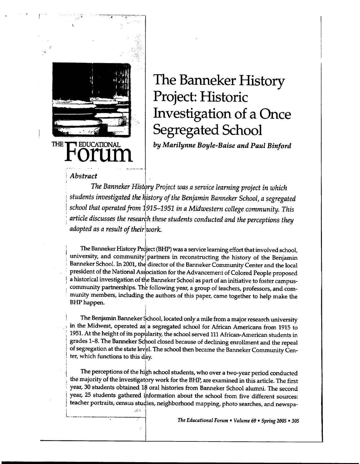

r -

# The Banneker History Project: Historic Investigation of a Once Segregated School

*by Marilynne Boyle-Baise and Paul Binford* 

## <sup>i</sup>*Abstract* <sup>I</sup>

The Banneker History Project was a service learning project in which<br>students investigated the history of the Benjamin Banneker School, a segregated <sup>I</sup>*school that operated from* 1915-1951 *in a Midwestern college community. This*   $\alpha$  *article discusses the research these students conducted and the perceptions they adopted as a result of theirlwork.* 

!

!

فبأبيتهم

The Banneker History Project (BHP) was a service learning effort that involved school, university, and community partners in reconstructing the history of the Benjamin Banneker School. In 2001, the director of the Banneker Community Center and the local president of the National Association for the Advancement of Colored People proposed a historical investigation of the Banneker School as part of an initiative to foster campuscommunity partnerships. The following year, a group of teachers, professors, and community members, including the authors of this paper, came together to help make the **BHP** happen.

The Benjamin Banneker School, located only a mile from a major research university in the Midwest, operated as a segregated school for African Americans from 1915 to 1951. At the height of its popularity, the school served 111 African-American students in grades 1-8. The Banneker School closed because of declining enrollment and the repeal of segregation at the state level. The school then became the Banneker Community Center, which functions to this day. ' I

The perceptions of the high school students, who over a two-year period conducted the majority of the investigatory work for the BHP, are examined in this article. The first ; year, 30 students obtained 18 oral histories from Banneker School alumni. The second year, 25 students gathered information about the school from five different sources: teacher portraits, census studies, neighborhood mapping, photo searches, and newspa-

<sup>L</sup>-----------~~--.---; The *Educational Forum* • *Volume* 69 • *Spring 2005* • *<sup>305</sup>*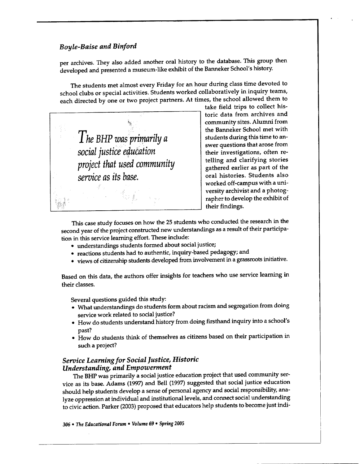per archives. They also added another oral history to the database. This group then developed and presented a museum-like exhibit of the Banneker School's history.

The students met almost every Friday for an hour during class time devoted to school clubs or special activities. Students worked collaboratively in inquiry teams, each directed by one or two project partners. At times, the school allowed them to



take field trips to collect historic data from archives and community sites. Alumni from the Banneker School met with students during this time to answer questions that arose from their investigations, often retelling and clarifying stories gathered earlier as part of the oral histories. Students also worked off-campus with a university archivist and a photographer to develop the exhibit of their findings.

This case study focuses on how the 25 students who conducted the research in the second year of the project constructed new understandings as a result of their participation in this service learning effort. These include:

- understandings students formed about social justice;
- reactions students had to authentic, inquiry-based pedagogy; and
- views of citizenship students developed from involvement in a grassroots initiative.

Based on this data, the authors offer insights for teachers who use service learning in their classes.

Several questions guided this study:

- What understandings do students form about racism and segregation from doing service work related to social justice?
- How do students understand history from doing firsthand inquiry into a school's past?
- How do students think of themselves as citizens based on their participation in such a project?

# *Service Learning for Social Justice, Historic Understanding, and Empowerment*

The BHP was primarily a social justice education project that used community service as its base. Adams (1997) and Bell (1997) suggested that social justice education should help students develop a sense of personal agency and social responsibility, analyze oppression at individual and institutional levels, and connect social understanding to civic action. Parker (2003) proposed that educators help students to become just indi-

*306* • The *Educational Forum* • *Volume* 69 • *Spring 2005*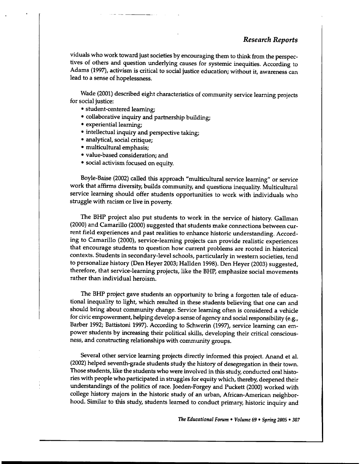#### *Research Reports*

viduals who work toward just societies by encouraging them to think from the perspectives of others and question underlying causes for systemic inequities. According to Adams (1997), activism is critical to social justice education; without it, awareness can lead to a sense of hopelessness.

Wade (2001) described eight characteristics of community service learning projects for social justice:

- student-centered learning;
- collaborative inquiry and partnership building;
- experiential learning;
- intellectual inquiry and perspective taking;
- analytical, social critique;
- multicultural emphasis;
- value-based consideration; and
- social activism focused on equity.

Bayle-Baise (2002) called this approach "multicultural service learning" or service work that affirms diversity, builds community, and questions inequality. Multicultural service learning should offer students opportunities to work with individuals who struggle with racism or live in poverty.

The BHP project also put students to work in the service of history. Gallman (2000) and Camarillo (2000) suggested that students make connections between current field experiences and past realities to enhance historic understanding. According to Camarillo (2000), service-learning projects can provide realistic experiences that encourage students to question how current problems are rooted in historical contexts. Students in secondary-level schools, particularly in western societies, tend to personalize history (Den Heyer 2003; Hallden 1998). Den Heyer (2003) suggested, therefore, that service-learning projects, like the BHP, emphasize social movements rather than individual heroism.

The BHP project gave students an opportunity to bring a forgotten tale of educational inequality to light, which resulted in these students believing that one can and should bring about community change. Service learning often is considered a vehicle for civic empowerment, helping develop a sense of agency and social responsibility (e.g., Barber 1992; Battistoni 1997). According to Schwerin (1997), service learning can empower students by increasing their political skills, developing their critical consciousness, and constructing relationships with community groups.

Several other service learning projects directly informed this project. Anand et al. (2002) helped seventh-grade students study the history of desegregation in their town. Those students, like the students who were involved in this study, conducted oral histories with people who participated in struggles for equity which, thereby, deepened their understandings of the politics of race. Joeden-Forgey and Puckett (2000) worked with college history majors in the historic study of an urban, African-American neighborhood. Similar to this study, students learned to conduct primary, historic inquiry and

*The Educational Forum* • *Volume 69* • *Spring 2005* • *<sup>307</sup>*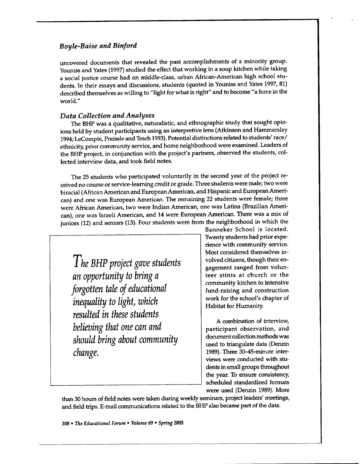uncovered documents that revealed the past accomplishments of a minority group. Youniss and Yates (1997) studied the effect that working in a soup kitchen while taking a social justice course had on middle-class, urban African-American high school students. In their essays and discussions, students (quoted in Youniss and Yates 1997, 81) described themselves as willing to "fight for what is right" and to become "a force in the world."

# *Data Collection and Analyses*

The BHP was a qualitative, naturalistic, and ethnographic study that sought opinions held by student participants using an interpretive lens (Atkinson and Hammersley 1994; LeCompte, Preissle and Tesch 1993). Potential distinctions related to students' race/ ethnicity, prior community service, and home neighborhood were examined. Leaders of the BHP project, in conjunction with the project's partners, observed the students, collected interview data, and took field notes.

The 25 students who participated voluntarily in the second year of the project received no course or service-learning credit or grade. Three students were male; two were biracial (African American and European American, and Hispanic and European American) and one was European American. The remaining 22 students were female; three were African American, two were Indian American, one was Latina (Brazilian American), one was Israeli American, and 14 were European American. There was a mix of juniors (12) and seniors (13). Four students were from the neighborhood in which the

*The BHP project gave students an opportunity to bring <sup>a</sup> forgotten tale of educational inequality to light, which resulted in these students believing that one can and should bring about community change.* 

Banneker School is located. Twenty students had prior experience with community service. Most considered themselves involved citizens, though their engagement ranged from volunteer stints at church or the community kitchen to intensive fund-raising and construction work for the school's chapter of Habitat for Humanity.

A combination of interview, participant observation, and document collection methods was used to triangulate data (Denzin 1989). Three 30-45-minute interviews were conducted with students in small groups throughout the year. To ensure consistency, scheduled standardized formats were used (Denzin 1989). More

than 30 hours of field notes were taken during weekly seminars, project leaders' meetings, and field trips. E-mail communications related to the BHP also became part of the data.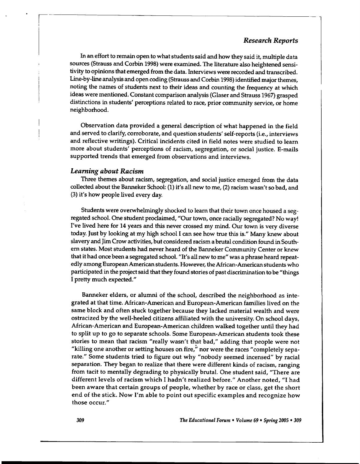#### *Research Reports*

In an effort to remain open to what students said and how they said it, multiple data sources (Strauss and Corbin 1998) were examined. The literature also heightened sensitivity to opinions that emerged from the data. Interviews were recorded and transcribed. Line-by-line analysis and open coding (Strauss and Corbin 1998) identified major themes, noting the names of students next to their ideas and counting the frequency at which ideas were mentioned. Constant comparison analysis (Glaser and Strauss 1967) grasped distinctions in students' perceptions related to race, prior community service, or home neighborhood.

Observation data provided a general description of what happened in the field and served to clarify, corroborate, and question students' self-reports (i.e., interviews and reflective writings). Critical incidents cited in field notes were studied to learn more about students' perceptions of racism, segregation, or social justice. E-mails supported trends that emerged from observations and interviews.

## *Learning about Racism*

I

Three themes about racism, segregation, and social justice emerged from the data collected about the Banneker School: (1) it's all new to me, (2) racism wasn't so bad, and (3) it's how people lived every day.

Students were overwhelmingly shocked to learn that their town once housed a segregated school. One student proclaimed, "Our town, once racially segregated? No way! I've lived here for 14 years and this never crossed my mind. Our town is very diverse today. Just by looking at my high school I can see how true this is." Many knew about slavery and Jim Crow activities, but considered racism a brutal condition found in Southern states. Most students had never heard of the Banneker Community Center or knew that it had once been a segregated school. "It's all new to me" was a phrase heard repeatedly among European American students. However, the African-American students who participated in the project said that they found stories of past discrimination to be "things I pretty much expected."

Banneker elders, or alumni of the school, described the neighborhood as integrated at that time. African-American and European-American families lived on the same block and often stuck together because they lacked material wealth and were ostracized by the well-heeled citizens affiliated with the university. On school days, African-American and European-American children walked together until they had to split up to go to separate schools. Some European-American students took these stories to mean that racism "really wasn't that bad," adding that people were not "killing one another or setting houses on fire," nor were the races "completely separate." Some students tried to figure out why "nobody seemed incensed" by racial separation. They began to realize that there were different kinds of racism, ranging from tacit to mentally degrading to physically brutal. One student said, "There are different levels of racism which I hadn't realized before." Another noted, "I had been aware that certain groups of people, whether by race or class, get the short end of the stick. Now I'm able to point out specific examples and recognize how those occur."

309 The *Educational Forum* • *Volume* 69 • *Spring 2005* • 309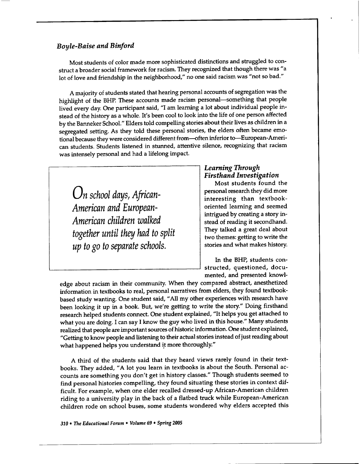Most students of color made more sophisticated distinctions and struggled to construct a broader social framework for racism. They recognized that though there was "a lot of love and friendship in the neighborhood," no one said racism was "not so bad."

A majority of students stated that hearing personal accounts of segregation was the highlight of the BHP. These accounts made racism personal-something that people lived every day. One participant said, "I am learning a lot about individual people instead of the history as a whole. It's been cool to look into the life of one person affected by the Banneker School." Elders told compelling stories about their lives as children in <sup>a</sup> segregated setting. As they told these personal stories, the elders often became emotional because they were considered different from---often inferior to--European-American students. Students listened in stunned, attentive silence, recognizing that racism was intensely personal and had a lifelong impact.

*On school days, African-American and European-American children walked together until they had to split up to go to separate schools.* 

# *Learning Through Firsthand Investigation*

Most students found the personal research they did more interesting than textbookoriented learning and seemed intrigued by creating a story instead of reading it secondhand. They talked a great deal about two themes: getting to write the stories and what makes history.

In the BHP, students constructed, questioned, documented, and presented knowl-

edge about racism in their community. When they compared abstract, anesthetized information in textbooks to real, personal narratives from elders, they found textbookbased study wanting. One student said, "All my other experiences with research have been looking it up in a book. But, we're getting to write the story." Doing firsthand research helped students connect. One student explained, "It helps you get attached to what you are doing. I can say I know the guy who lived in this house." Many students realized that people are important sources of historic information. One student explained, "Getting to know people and listening to their actual stories instead of just reading about what happened helps you understand it more thoroughly."

A third of the students said that they heard views rarely found in their textbooks. They added, "A lot you learn in textbooks is about the South. Personal accounts are something you don't get in history classes." Though students seemed to find personal histories compelling, they found situating these stories in context difficult. For example, when one elder recalled dressed-up African-American children riding to a university play in the back of a flatbed truck while European-American children rode on school buses, some students wondered why elders accepted this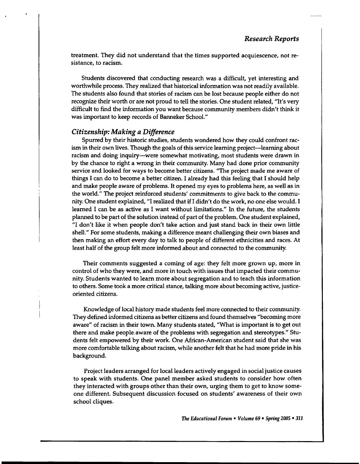treatment. They did not understand that the times supported acquiescence, not resistance, to racism.

Students discovered that conducting research was a difficult, yet interesting and worthwhile process. They realized that historical information was not readily available. The students also found that stories of racism can be lost because people either do not recognize their worth or are not proud to tell the stories. One student related, "It's very difficult to find the information you want because community members didn't think it was important to keep records of Banneker School."

#### *Citizenship: Making a Difference*

Spurred by their historic studies, students wondered how they could confront racism in their own lives. Though the goals of this service learning project—learning about racism and doing inquiry-were somewhat motivating, most students were drawn in by the chance to right a wrong in their community. Many had done prior community service and looked for ways to become better citizens. "The project made me aware of things I can do to become a better citizen. I already had this feeling that I should help and make people aware of problems. It opened my eyes to problems here, as well as in the world." The project reinforced students' commitments to give back to the community. One student explained, "I realized that if I didn't do the work, no one else would. I learned I can be as active as I want without limitations." In the future, the students planned to be part of the solution instead of part of the problem. One student explained, "I don't like it when people don't take action and just stand back in their own little shell." For some students, making a difference meant challenging their own biases and then making an effort every day to talk to people of different ethnicities and races. At least half of the group felt more informed about and connected to the community.

Their comments suggested a coming of age: they felt more grown up, more in control of who they were, and more in touch with issues that impacted their community. Students wanted to learn more about segregation and to teach this information to others. Some took a more critical stance, talking more about becoming active, justiceoriented citizens.

Knowledge of local history made students feel more connected to their community. They defined informed citizens as better citizens and found themselves "becoming more aware" of racism in their town. Many students stated, "What is important is to get out there and make people. aware of the problems with segregation and stereotypes." Students felt empowered by their work. One African-American student said that she was more comfortable talking about racism, while another felt that he had more pride in his background.

Project leaders arranged for local leaders actively engaged in social justice causes to speak with students. One panel member asked students to consider how often they interacted with groups other than their own, urging them to get to know someone different. Subsequent discussion focused on students' awareness of their own school cliques.

*The Educational Forum* • *Volume 69* • *Spring 2005* • *311*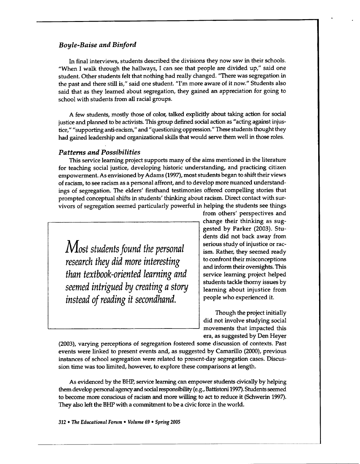In final interviews, students described the divisions they now saw in their schools. "When I walk through the hallways, I can see that people are divided up," said one student. Other students felt that nothing had really changed. "There was segregation in the past and there still is," said one student. "I'm more aware of it now." Students also said that as they learned about segregation, they gained an appreciation for going to school with students from all racial groups.

A few students, mostly those of color, talked explicitly about taking action for social justice and planned to be activists. This group defined social action as "acting against injustice," "supporting anti-racism," and" questioning oppression." These students thought they had gained leadership and organizational skills that would serve them well in those roles.

## *Patterns and Possibilities*

This service learning project supports many of the aims mentioned in the literature for teaching social justice, developing historic understanding, and practicing citizen empowerment. As envisioned by Adams (1997), most students began to shift their views of racism, to see racism as a personal affront, and to develop more nuanced understandings of segregation. The elders' firsthand testimonies offered compelling stories that prompted conceptual shifts in students' thinking about racism. Direct contact with survivors of segregation seemed particularly powerful in helping the students see things

*Most students found the personal research they did more interesting than textbook-oriented learning and seemed intrigued* by *creating a story instead of reading it secondhand.* 

from others' perspectives and change their thinking as suggested by Parker (2003). Students did not back away from serious study of injustice or racism. Rather, they seemed ready to confront their misconceptions and inform their oversights. This service learning project helped students tackle thorny issues by learning about injustice from people who experienced it.

Though the project initially did not involve studying social movements that impacted this era, as suggested by Den Heyer

(2003), varying perceptions of segregation fostered some discussion of contexts. Past events were linked to present events and, as suggested by Camarillo (2000), previous instances of school segregation were related to present-day segregation cases. Discussion time was too limited, however, to explore these comparisons at length.

As evidenced by the BHP, service learning can empower students civically by helping them develop personal agency and social responsibility (e.g., Battistoni 1997). Students seemed to become more conscious of racism and more willing to act to reduce it (Schwerin 1997). They also left the BHP with a commitment to be a civic force in the world.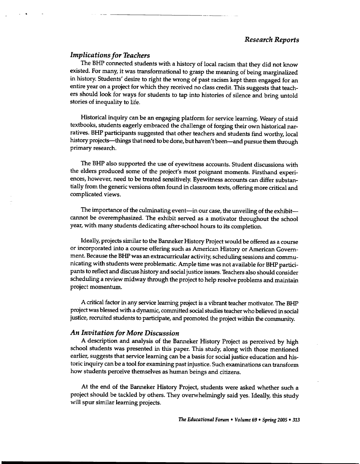#### *Implications for Teachers*

' . --------------------

The BHP connected students with a history of local racism that they did not know existed. For many, it was transformational to grasp the meaning of being marginalized in history. Students' desire to right the wrong of past racism kept them engaged for an entire year on a project for which they received no class credit. This suggests that teachers should look for ways for students to tap into histories of silence and bring untold stories of inequality to life.

Historical inquiry can be an engaging platform for service learning. Weary of staid textbooks, students eagerly embraced the challenge of forging their own historical narratives. BHP participants suggested that other teachers and students find worthy, local history projects-things that need to be done, but haven't been-and pursue them through primary research.

The BHP also supported the use of eyewitness accounts. Student discussions with the elders produced some of the project's most poignant moments. Firsthand experiences, however, need to be treated sensitively. Eyewitness accounts can differ substantially from the generic versions often found in classroom texts, offering more critical and complicated views.

The importance of the culminating event-in our case, the unveiling of the exhibit-cannot be overemphasized. The exhibit served as a motivator throughout the school year, with many students dedicating after-school hours to its completion.

Ideally, projects similar to the Banneker History Project would be offered as a course or incorporated into a course offering such as American History or American Government. Because the BHP was an extracurricular activity, scheduling sessions and communicating with students were problematic. Ample time was not available for BHP participants to reflect and discuss history and social justice issues. Teachers also should consider scheduling a review midway through the project to help resolve problems and maintain project momentum.

A critical factor in any service learning project is a vibrant teacher motivator. The BHP project was blessed with a dynamic, committed social studies teacher who believed in social justice, recruited students to participate, and promoted the project within the community.

#### *An Invitation for More Discussion*

A description and analysis of the Banneker History Project as perceived by high school students was presented in this paper. This study, along with those mentioned earlier, suggests that service learning can be a basis for social justice education and historic inquiry can be a tool for examining past injustice. Such examinations can transform how students perceive themselves as human beings and citizens.

At the end of the Banneker History Project, students were asked whether such <sup>a</sup> project should be tackled by others. They overwhelmingly said yes. Ideally, this study will spur similar learning projects.